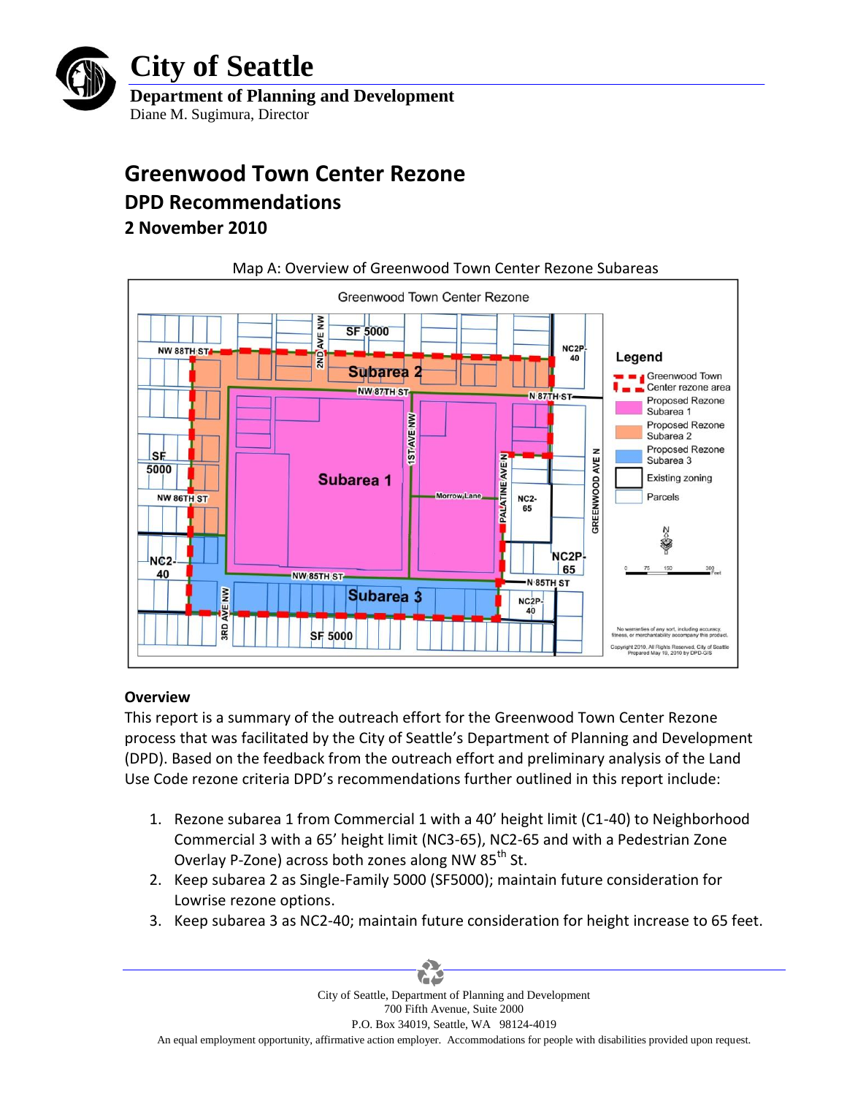

# **City of Seattle**

**Department of Planning and Development** Diane M. Sugimura, Director

## **Greenwood Town Center Rezone**

## **DPD Recommendations**

## **2 November 2010**



## **Overview**

This report is a summary of the outreach effort for the Greenwood Town Center Rezone process that was facilitated by the City of Seattle's Department of Planning and Development (DPD). Based on the feedback from the outreach effort and preliminary analysis of the Land Use Code rezone criteria DPD's recommendations further outlined in this report include:

- 1. Rezone subarea 1 from Commercial 1 with a 40' height limit (C1-40) to Neighborhood Commercial 3 with a 65' height limit (NC3-65), NC2-65 and with a Pedestrian Zone Overlay P-Zone) across both zones along NW 85<sup>th</sup> St.
- 2. Keep subarea 2 as Single-Family 5000 (SF5000); maintain future consideration for Lowrise rezone options.
- 3. Keep subarea 3 as NC2-40; maintain future consideration for height increase to 65 feet.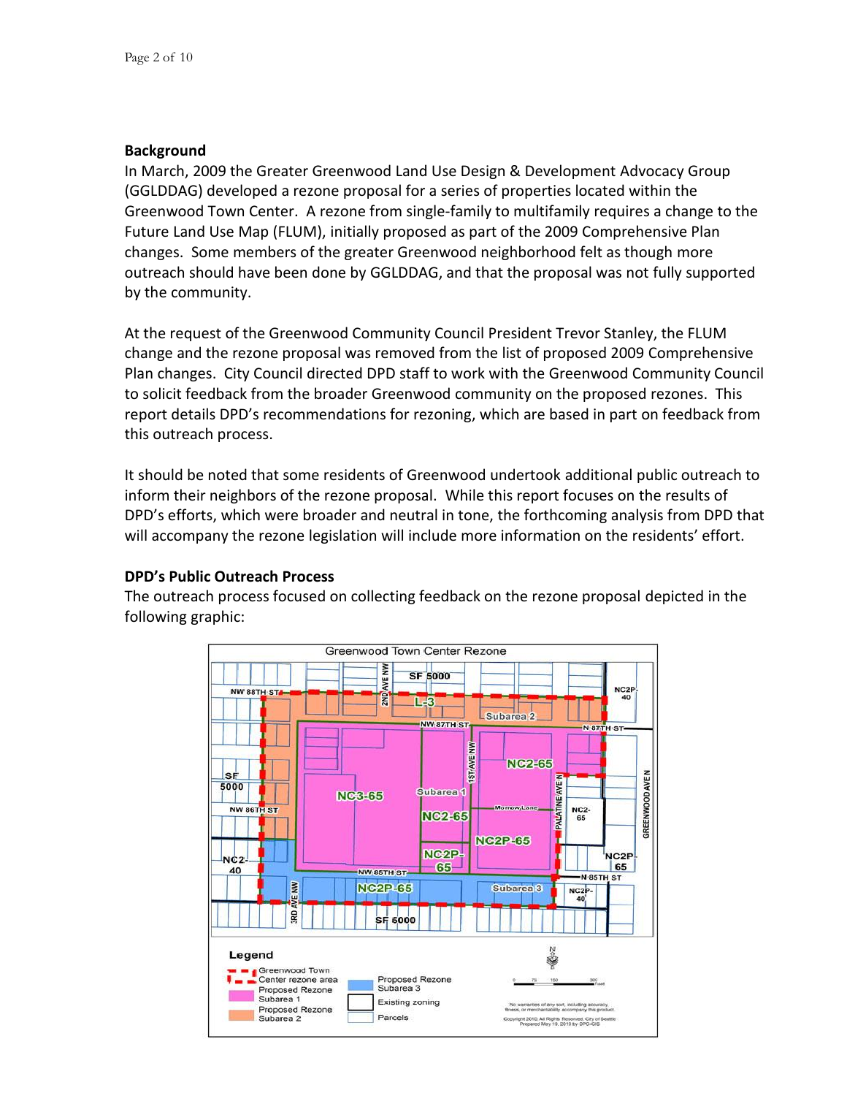## **Background**

In March, 2009 the Greater Greenwood Land Use Design & Development Advocacy Group (GGLDDAG) developed a rezone proposal for a series of properties located within the Greenwood Town Center. A rezone from single-family to multifamily requires a change to the Future Land Use Map (FLUM), initially proposed as part of the 2009 Comprehensive Plan changes. Some members of the greater Greenwood neighborhood felt as though more outreach should have been done by GGLDDAG, and that the proposal was not fully supported by the community.

At the request of the Greenwood Community Council President Trevor Stanley, the FLUM change and the rezone proposal was removed from the list of proposed 2009 Comprehensive Plan changes. City Council directed DPD staff to work with the Greenwood Community Council to solicit feedback from the broader Greenwood community on the proposed rezones. This report details DPD's recommendations for rezoning, which are based in part on feedback from this outreach process.

It should be noted that some residents of Greenwood undertook additional public outreach to inform their neighbors of the rezone proposal. While this report focuses on the results of DPD's efforts, which were broader and neutral in tone, the forthcoming analysis from DPD that will accompany the rezone legislation will include more information on the residents' effort.

### **DPD's Public Outreach Process**

The outreach process focused on collecting feedback on the rezone proposal depicted in the following graphic:

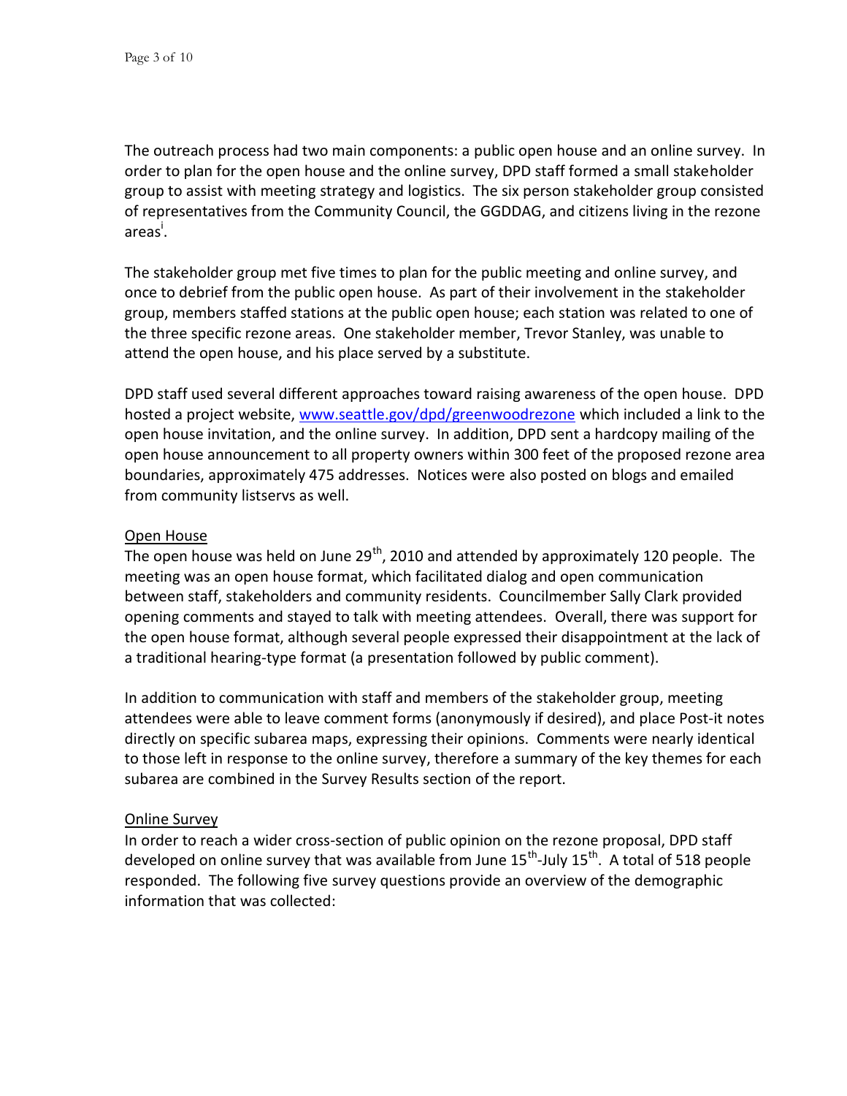The outreach process had two main components: a public open house and an online survey. In order to plan for the open house and the online survey, DPD staff formed a small stakeholder group to assist with meeting strategy and logistics. The six person stakeholder group consisted of representatives from the Community Council, the GGDDAG, and citizens living in the rezone areas<sup>i</sup>.

The stakeholder group met five times to plan for the public meeting and online survey, and once to debrief from the public open house. As part of their involvement in the stakeholder group, members staffed stations at the public open house; each station was related to one of the three specific rezone areas. One stakeholder member, Trevor Stanley, was unable to attend the open house, and his place served by a substitute.

DPD staff used several different approaches toward raising awareness of the open house. DPD hosted a project website, [www.seattle.gov/dpd/greenwoodrezone](http://www.seattle.gov/dpd/greenwoodrezone) which included a link to the open house invitation, and the online survey. In addition, DPD sent a hardcopy mailing of the open house announcement to all property owners within 300 feet of the proposed rezone area boundaries, approximately 475 addresses. Notices were also posted on blogs and emailed from community listservs as well.

### Open House

The open house was held on June 29<sup>th</sup>, 2010 and attended by approximately 120 people. The meeting was an open house format, which facilitated dialog and open communication between staff, stakeholders and community residents. Councilmember Sally Clark provided opening comments and stayed to talk with meeting attendees. Overall, there was support for the open house format, although several people expressed their disappointment at the lack of a traditional hearing-type format (a presentation followed by public comment).

In addition to communication with staff and members of the stakeholder group, meeting attendees were able to leave comment forms (anonymously if desired), and place Post-it notes directly on specific subarea maps, expressing their opinions. Comments were nearly identical to those left in response to the online survey, therefore a summary of the key themes for each subarea are combined in the Survey Results section of the report.

### Online Survey

In order to reach a wider cross-section of public opinion on the rezone proposal, DPD staff developed on online survey that was available from June 15<sup>th</sup>-July 15<sup>th</sup>. A total of 518 people responded. The following five survey questions provide an overview of the demographic information that was collected: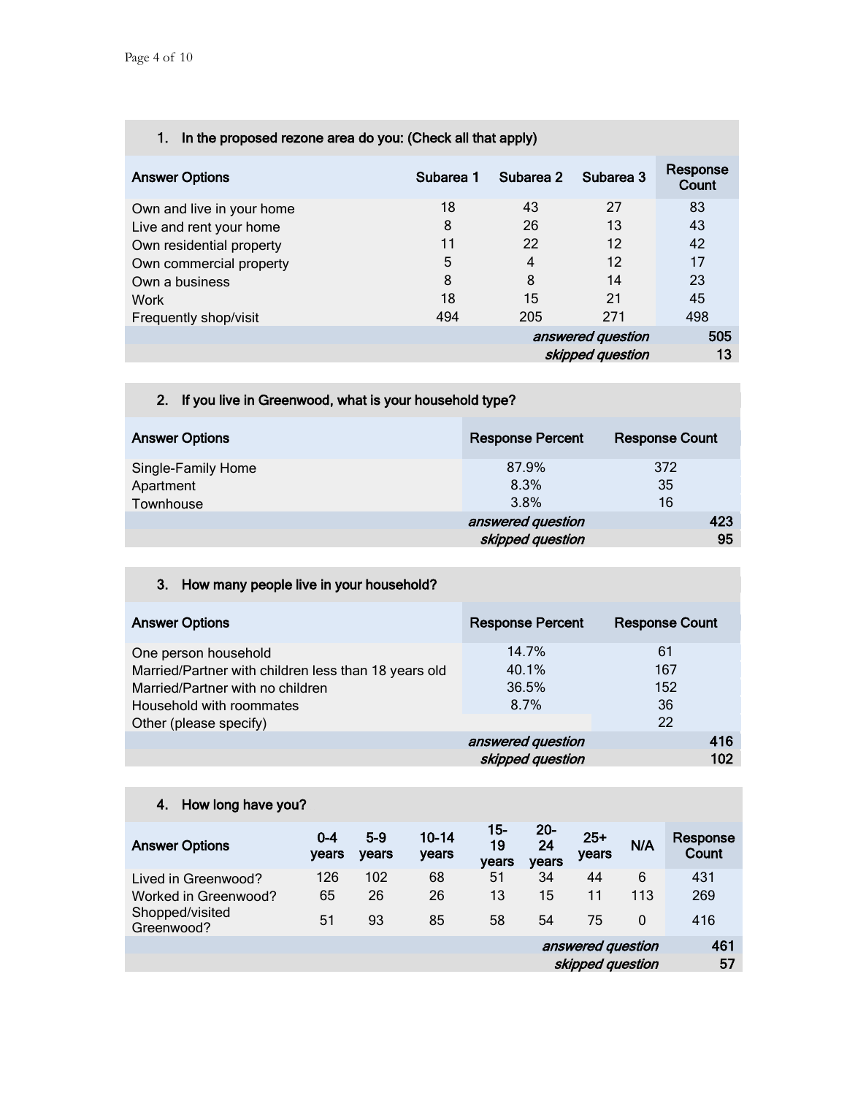|  |  | 1. In the proposed rezone area do you: (Check all that apply) |
|--|--|---------------------------------------------------------------|
|  |  |                                                               |

| <b>Answer Options</b>     | Subarea 1 | Subarea 2        | Subarea 3         | Response<br>Count |
|---------------------------|-----------|------------------|-------------------|-------------------|
| Own and live in your home | 18        | 43               | 27                | 83                |
| Live and rent your home   | 8         | 26               | 13                | 43                |
| Own residential property  | 11        | 22               | 12                | 42                |
| Own commercial property   | 5         | 4                | 12                | 17                |
| Own a business            | 8         | 8                | 14                | 23                |
| Work                      | 18        | 15               | 21                | 45                |
| Frequently shop/visit     | 494       | 205              | 271               | 498               |
|                           |           |                  | answered question |                   |
|                           |           | skipped question |                   | 13                |

## 2. If you live in Greenwood, what is your household type?

| <b>Answer Options</b> | <b>Response Percent</b> | <b>Response Count</b> |
|-----------------------|-------------------------|-----------------------|
| Single-Family Home    | 87.9%                   | 372                   |
| Apartment             | 8.3%                    | 35                    |
| Townhouse             | 3.8%                    | 16                    |
|                       | answered question       | 423                   |
|                       | skipped question        | 95                    |

## 3. How many people live in your household?

| <b>Answer Options</b>                                | <b>Response Percent</b> | <b>Response Count</b> |
|------------------------------------------------------|-------------------------|-----------------------|
| One person household                                 | 14.7%                   | 61                    |
| Married/Partner with children less than 18 years old | 40.1%                   | 167                   |
| Married/Partner with no children                     | 36.5%                   | 152                   |
| Household with roommates                             | 8.7%                    | 36                    |
| Other (please specify)                               |                         | 22                    |
|                                                      | answered question       | 416                   |
|                                                      | skipped question        | 102                   |

## 4. How long have you?

| <b>Answer Options</b>         | $0 - 4$<br>years | $5-9$<br>years | $10 - 14$<br>years | 15-<br>19<br>years | $20 -$<br>24<br>years | $25+$<br>years | N/A      | Response<br>Count |
|-------------------------------|------------------|----------------|--------------------|--------------------|-----------------------|----------------|----------|-------------------|
| Lived in Greenwood?           | 126              | 102            | 68                 | 51                 | 34                    | 44             | 6        | 431               |
| Worked in Greenwood?          | 65               | 26             | 26                 | 13                 | 15                    | 11             | 113      | 269               |
| Shopped/visited<br>Greenwood? | 51               | 93             | 85                 | 58                 | 54                    | 75             | $\Omega$ | 416               |
|                               |                  |                |                    |                    | answered question     |                |          | 461               |
|                               |                  |                |                    | skipped question   |                       |                | 57       |                   |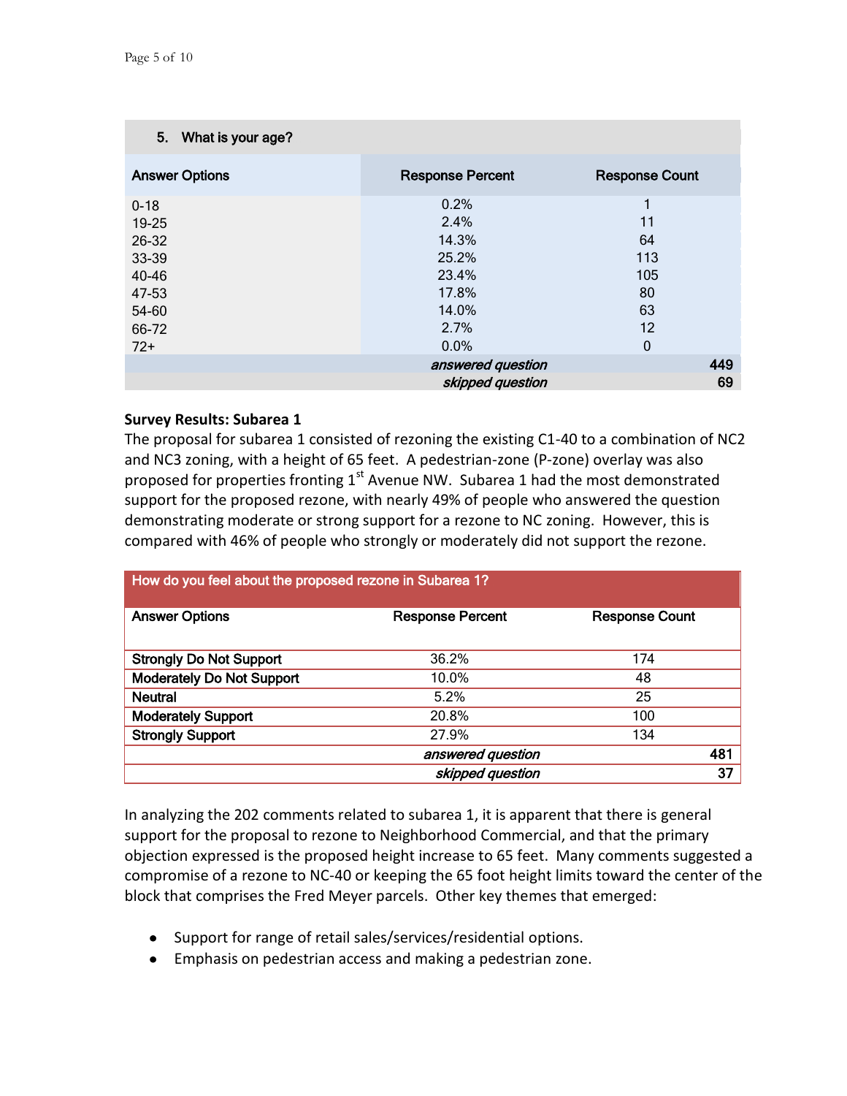| 5. What is your age?  |                         |                       |
|-----------------------|-------------------------|-----------------------|
| <b>Answer Options</b> | <b>Response Percent</b> | <b>Response Count</b> |
| $0 - 18$              | 0.2%                    | 1                     |
| 19-25                 | 2.4%                    | 11                    |
| 26-32                 | 14.3%                   | 64                    |
| 33-39                 | 25.2%                   | 113                   |
| 40-46                 | 23.4%                   | 105                   |
| 47-53                 | 17.8%                   | 80                    |
| 54-60                 | 14.0%                   | 63                    |
| 66-72                 | 2.7%                    | 12                    |
| $72+$                 | 0.0%                    | 0                     |
|                       | answered question       | 449                   |
|                       | skipped question        | 69                    |

### **Survey Results: Subarea 1**

The proposal for subarea 1 consisted of rezoning the existing C1-40 to a combination of NC2 and NC3 zoning, with a height of 65 feet. A pedestrian-zone (P-zone) overlay was also proposed for properties fronting  $1<sup>st</sup>$  Avenue NW. Subarea 1 had the most demonstrated support for the proposed rezone, with nearly 49% of people who answered the question demonstrating moderate or strong support for a rezone to NC zoning. However, this is compared with 46% of people who strongly or moderately did not support the rezone.

## How do you feel about the proposed rezone in Subarea 1?

| <b>Answer Options</b>            | <b>Response Percent</b> | <b>Response Count</b> |
|----------------------------------|-------------------------|-----------------------|
|                                  |                         |                       |
|                                  |                         |                       |
| <b>Strongly Do Not Support</b>   | 36.2%                   | 174                   |
| <b>Moderately Do Not Support</b> | 10.0%                   | 48                    |
| <b>Neutral</b>                   | 5.2%                    | 25                    |
| <b>Moderately Support</b>        | 20.8%                   | 100                   |
| <b>Strongly Support</b>          | 27.9%                   | 134                   |
|                                  | answered question       | 481                   |
|                                  | skipped question        | 37                    |

In analyzing the 202 comments related to subarea 1, it is apparent that there is general support for the proposal to rezone to Neighborhood Commercial, and that the primary objection expressed is the proposed height increase to 65 feet. Many comments suggested a compromise of a rezone to NC-40 or keeping the 65 foot height limits toward the center of the block that comprises the Fred Meyer parcels. Other key themes that emerged:

- Support for range of retail sales/services/residential options.
- Emphasis on pedestrian access and making a pedestrian zone.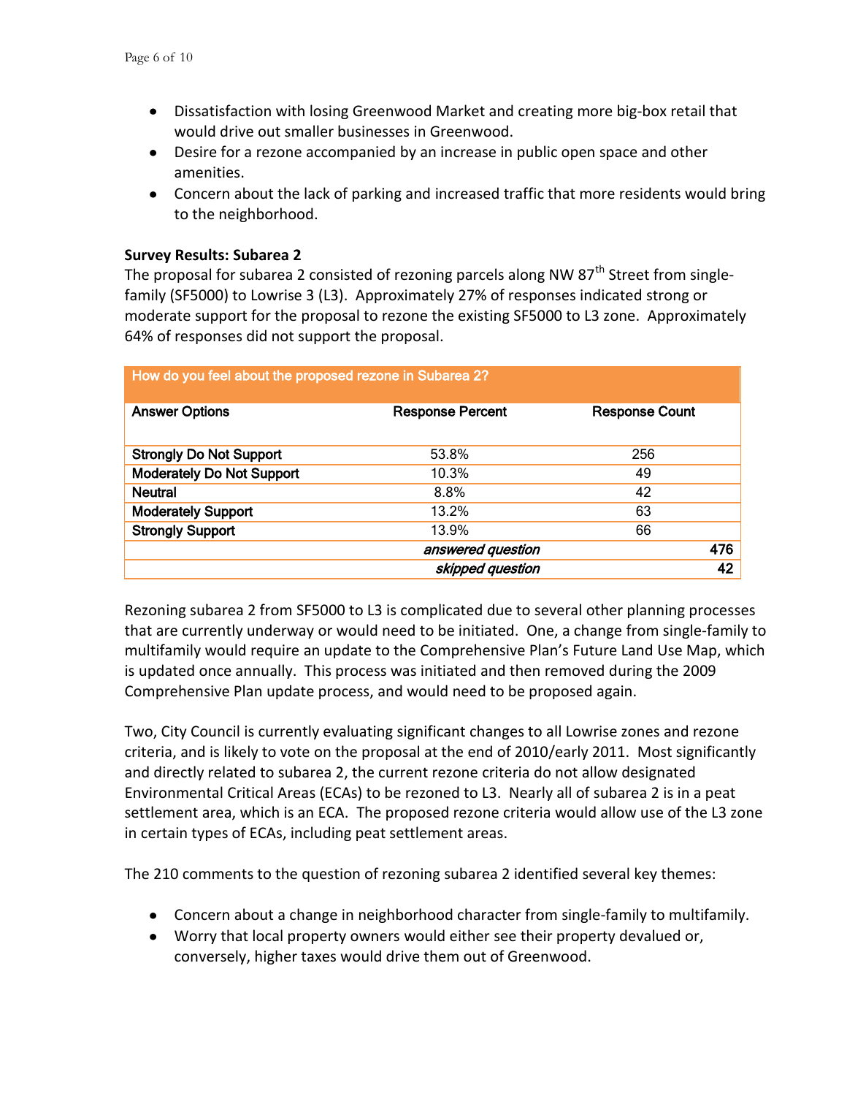- Dissatisfaction with losing Greenwood Market and creating more big-box retail that would drive out smaller businesses in Greenwood.
- Desire for a rezone accompanied by an increase in public open space and other amenities.
- Concern about the lack of parking and increased traffic that more residents would bring to the neighborhood.

### **Survey Results: Subarea 2**

The proposal for subarea 2 consisted of rezoning parcels along NW 87<sup>th</sup> Street from singlefamily (SF5000) to Lowrise 3 (L3). Approximately 27% of responses indicated strong or moderate support for the proposal to rezone the existing SF5000 to L3 zone. Approximately 64% of responses did not support the proposal.

| <b>Answer Options</b>            | <b>Response Percent</b> | <b>Response Count</b> |  |
|----------------------------------|-------------------------|-----------------------|--|
|                                  |                         |                       |  |
|                                  | 53.8%                   | 256                   |  |
| <b>Strongly Do Not Support</b>   |                         |                       |  |
| <b>Moderately Do Not Support</b> | 10.3%                   | 49                    |  |
| <b>Neutral</b>                   | 8.8%                    | 42                    |  |
| <b>Moderately Support</b>        | 13.2%                   | 63                    |  |
| <b>Strongly Support</b>          | 13.9%                   | 66                    |  |
|                                  | answered question       | 476                   |  |
|                                  | skipped question        | 42                    |  |

#### How do you feel about the proposed rezone in Subarea 2?

Rezoning subarea 2 from SF5000 to L3 is complicated due to several other planning processes that are currently underway or would need to be initiated. One, a change from single-family to multifamily would require an update to the Comprehensive Plan's Future Land Use Map, which is updated once annually. This process was initiated and then removed during the 2009 Comprehensive Plan update process, and would need to be proposed again.

Two, City Council is currently evaluating significant changes to all Lowrise zones and rezone criteria, and is likely to vote on the proposal at the end of 2010/early 2011. Most significantly and directly related to subarea 2, the current rezone criteria do not allow designated Environmental Critical Areas (ECAs) to be rezoned to L3. Nearly all of subarea 2 is in a peat settlement area, which is an ECA. The proposed rezone criteria would allow use of the L3 zone in certain types of ECAs, including peat settlement areas.

The 210 comments to the question of rezoning subarea 2 identified several key themes:

- Concern about a change in neighborhood character from single-family to multifamily.
- Worry that local property owners would either see their property devalued or, conversely, higher taxes would drive them out of Greenwood.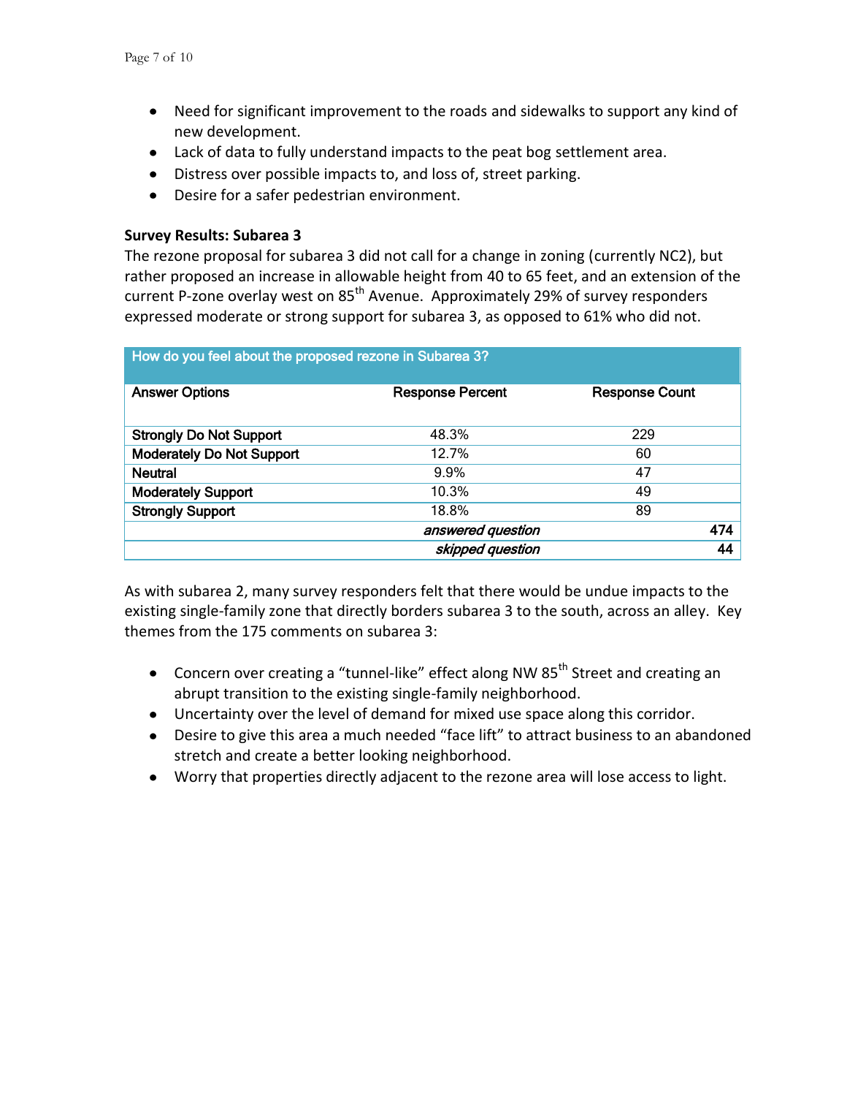- Need for significant improvement to the roads and sidewalks to support any kind of new development.
- Lack of data to fully understand impacts to the peat bog settlement area.
- Distress over possible impacts to, and loss of, street parking.
- Desire for a safer pedestrian environment.

## **Survey Results: Subarea 3**

The rezone proposal for subarea 3 did not call for a change in zoning (currently NC2), but rather proposed an increase in allowable height from 40 to 65 feet, and an extension of the current P-zone overlay west on 85<sup>th</sup> Avenue. Approximately 29% of survey responders expressed moderate or strong support for subarea 3, as opposed to 61% who did not.

| How do you feel about the proposed rezone in Subarea 3? |                         |                       |     |  |  |  |
|---------------------------------------------------------|-------------------------|-----------------------|-----|--|--|--|
| <b>Answer Options</b>                                   | <b>Response Percent</b> | <b>Response Count</b> |     |  |  |  |
| <b>Strongly Do Not Support</b>                          | 48.3%                   | 229                   |     |  |  |  |
| <b>Moderately Do Not Support</b>                        | 12.7%                   | 60                    |     |  |  |  |
| <b>Neutral</b>                                          | 9.9%                    | 47                    |     |  |  |  |
| <b>Moderately Support</b>                               | 10.3%                   | 49                    |     |  |  |  |
| <b>Strongly Support</b>                                 | 18.8%                   | 89                    |     |  |  |  |
|                                                         | answered question       |                       | 474 |  |  |  |
|                                                         | skipped question        |                       | 44  |  |  |  |

As with subarea 2, many survey responders felt that there would be undue impacts to the existing single-family zone that directly borders subarea 3 to the south, across an alley. Key themes from the 175 comments on subarea 3:

- Concern over creating a "tunnel-like" effect along NW 85<sup>th</sup> Street and creating an abrupt transition to the existing single-family neighborhood.
- Uncertainty over the level of demand for mixed use space along this corridor.
- Desire to give this area a much needed "face lift" to attract business to an abandoned stretch and create a better looking neighborhood.
- Worry that properties directly adjacent to the rezone area will lose access to light.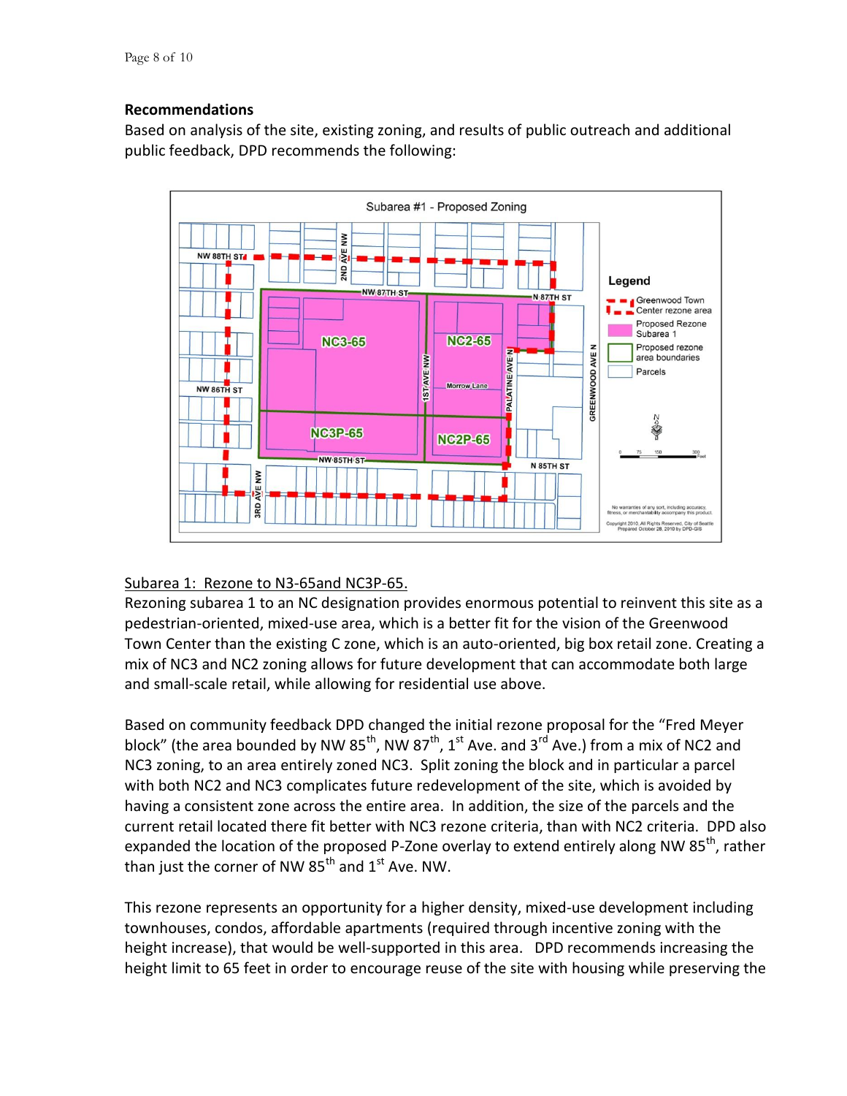## **Recommendations**

Based on analysis of the site, existing zoning, and results of public outreach and additional public feedback, DPD recommends the following:



### Subarea 1: Rezone to N3-65and NC3P-65.

Rezoning subarea 1 to an NC designation provides enormous potential to reinvent this site as a pedestrian-oriented, mixed-use area, which is a better fit for the vision of the Greenwood Town Center than the existing C zone, which is an auto-oriented, big box retail zone. Creating a mix of NC3 and NC2 zoning allows for future development that can accommodate both large and small-scale retail, while allowing for residential use above.

Based on community feedback DPD changed the initial rezone proposal for the "Fred Meyer block" (the area bounded by NW  $85^{th}$ , NW  $87^{th}$ , 1st Ave. and 3<sup>rd</sup> Ave.) from a mix of NC2 and NC3 zoning, to an area entirely zoned NC3. Split zoning the block and in particular a parcel with both NC2 and NC3 complicates future redevelopment of the site, which is avoided by having a consistent zone across the entire area. In addition, the size of the parcels and the current retail located there fit better with NC3 rezone criteria, than with NC2 criteria. DPD also expanded the location of the proposed P-Zone overlay to extend entirely along NW 85<sup>th</sup>, rather than just the corner of NW  $85<sup>th</sup>$  and  $1<sup>st</sup>$  Ave. NW.

This rezone represents an opportunity for a higher density, mixed-use development including townhouses, condos, affordable apartments (required through incentive zoning with the height increase), that would be well-supported in this area. DPD recommends increasing the height limit to 65 feet in order to encourage reuse of the site with housing while preserving the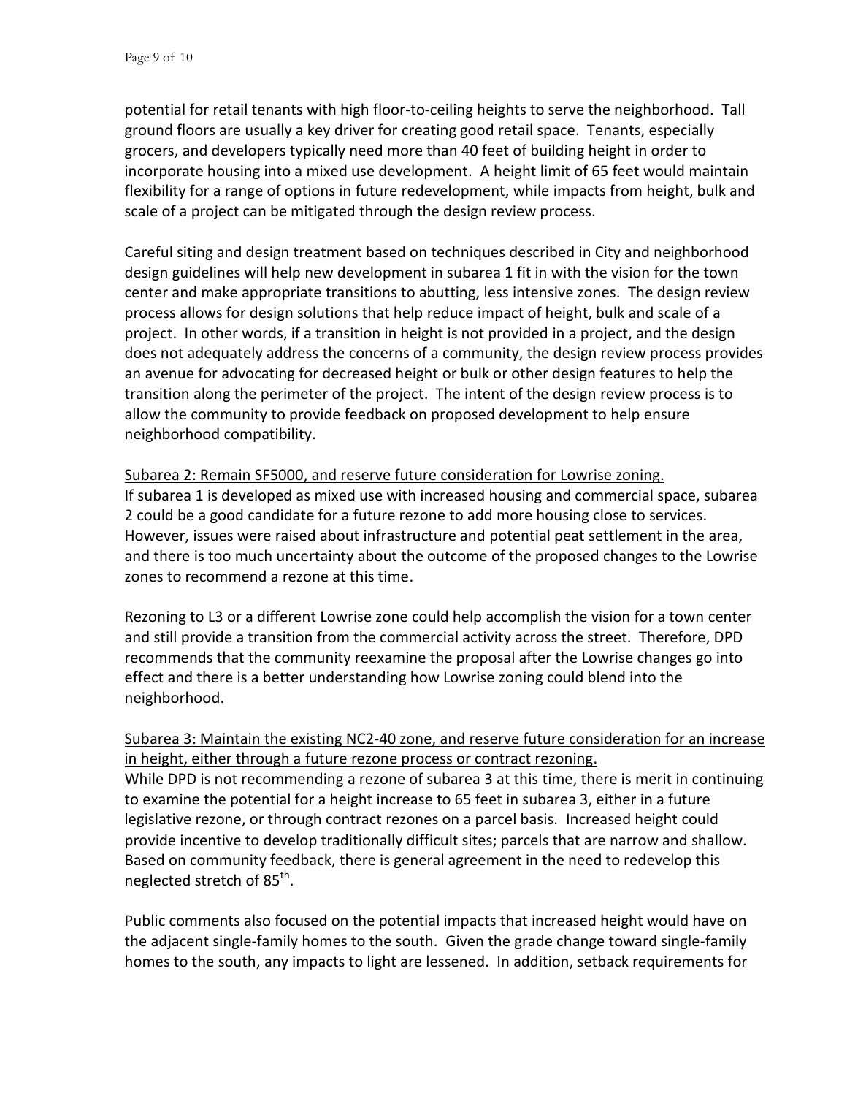potential for retail tenants with high floor-to-ceiling heights to serve the neighborhood. Tall ground floors are usually a key driver for creating good retail space. Tenants, especially grocers, and developers typically need more than 40 feet of building height in order to incorporate housing into a mixed use development. A height limit of 65 feet would maintain flexibility for a range of options in future redevelopment, while impacts from height, bulk and scale of a project can be mitigated through the design review process.

Careful siting and design treatment based on techniques described in City and neighborhood design guidelines will help new development in subarea 1 fit in with the vision for the town center and make appropriate transitions to abutting, less intensive zones. The design review process allows for design solutions that help reduce impact of height, bulk and scale of a project. In other words, if a transition in height is not provided in a project, and the design does not adequately address the concerns of a community, the design review process provides an avenue for advocating for decreased height or bulk or other design features to help the transition along the perimeter of the project. The intent of the design review process is to allow the community to provide feedback on proposed development to help ensure neighborhood compatibility.

Subarea 2: Remain SF5000, and reserve future consideration for Lowrise zoning. If subarea 1 is developed as mixed use with increased housing and commercial space, subarea 2 could be a good candidate for a future rezone to add more housing close to services. However, issues were raised about infrastructure and potential peat settlement in the area, and there is too much uncertainty about the outcome of the proposed changes to the Lowrise zones to recommend a rezone at this time.

Rezoning to L3 or a different Lowrise zone could help accomplish the vision for a town center and still provide a transition from the commercial activity across the street. Therefore, DPD recommends that the community reexamine the proposal after the Lowrise changes go into effect and there is a better understanding how Lowrise zoning could blend into the neighborhood.

## Subarea 3: Maintain the existing NC2-40 zone, and reserve future consideration for an increase in height, either through a future rezone process or contract rezoning.

While DPD is not recommending a rezone of subarea 3 at this time, there is merit in continuing to examine the potential for a height increase to 65 feet in subarea 3, either in a future legislative rezone, or through contract rezones on a parcel basis. Increased height could provide incentive to develop traditionally difficult sites; parcels that are narrow and shallow. Based on community feedback, there is general agreement in the need to redevelop this neglected stretch of 85<sup>th</sup>.

Public comments also focused on the potential impacts that increased height would have on the adjacent single-family homes to the south. Given the grade change toward single-family homes to the south, any impacts to light are lessened. In addition, setback requirements for